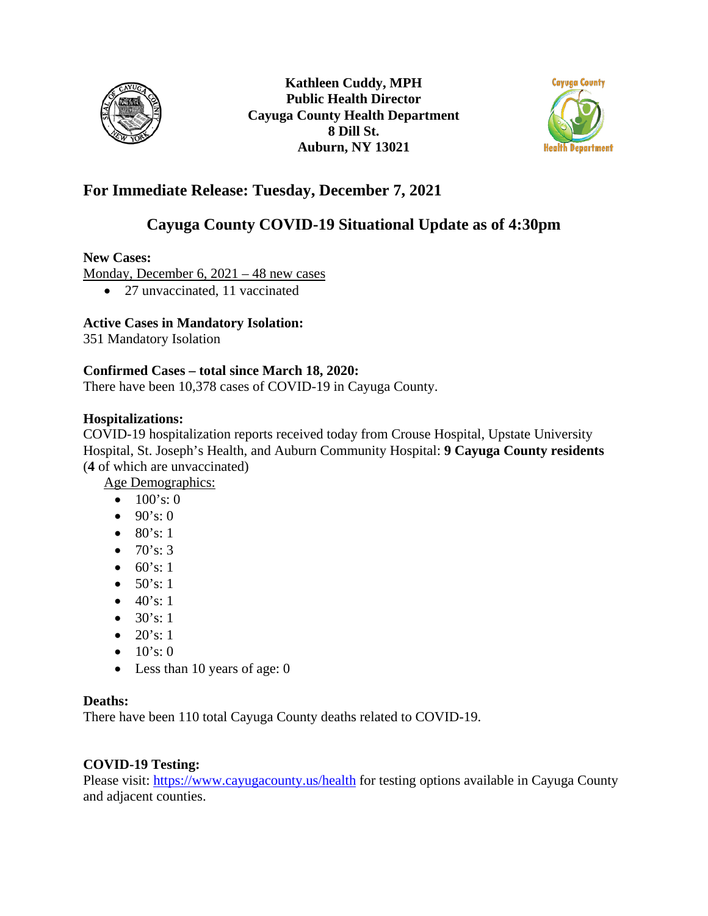



# **For Immediate Release: Tuesday, December 7, 2021**

# **Cayuga County COVID-19 Situational Update as of 4:30pm**

## **New Cases:**

Monday, December 6, 2021 – 48 new cases

• 27 unvaccinated, 11 vaccinated

## **Active Cases in Mandatory Isolation:**

351 Mandatory Isolation

#### **Confirmed Cases – total since March 18, 2020:**

There have been 10,378 cases of COVID-19 in Cayuga County.

## **Hospitalizations:**

COVID-19 hospitalization reports received today from Crouse Hospital, Upstate University Hospital, St. Joseph's Health, and Auburn Community Hospital: **9 Cayuga County residents**  (**4** of which are unvaccinated)

Age Demographics:

- $100's: 0$
- $90's:0$
- 80's: 1
- $70's: 3$
- $60's: 1$
- $50's: 1$
- $40's: 1$
- $30's: 1$
- $20's: 1$
- $10's:0$
- Less than 10 years of age: 0

#### **Deaths:**

There have been 110 total Cayuga County deaths related to COVID-19.

## **COVID-19 Testing:**

Please visit:<https://www.cayugacounty.us/health> for testing options available in Cayuga County and adjacent counties.